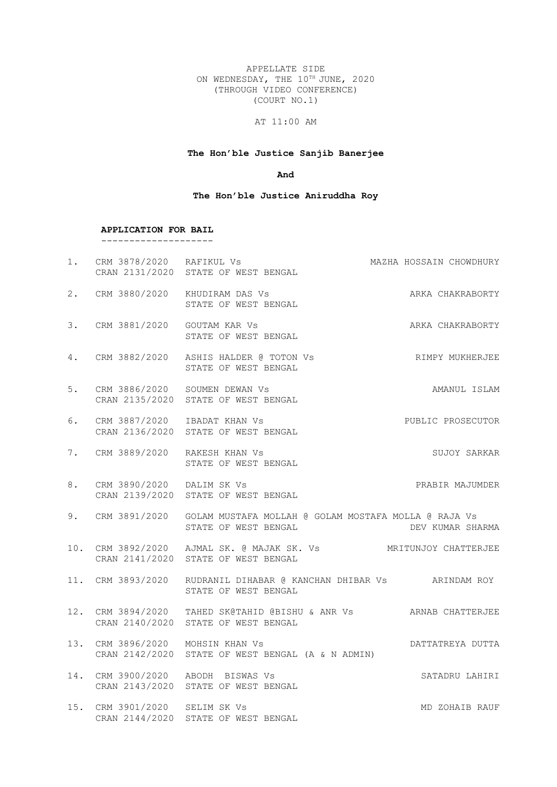APPELLATE SIDE ON WEDNESDAY, THE 10TH JUNE, 2020 (THROUGH VIDEO CONFERENCE) (COURT NO.1)

# AT 11:00 AM

# **The Hon'ble Justice Sanjib Banerjee**

#### **And**

### **The Hon'ble Justice Aniruddha Roy**

|    | APPLICATION FOR BAIL             |                                                                                                                |
|----|----------------------------------|----------------------------------------------------------------------------------------------------------------|
|    |                                  | 1. CRM 3878/2020 RAFIKUL Vs<br>MAZHA HOSSAIN CHOWDHURY<br>CRAN 2131/2020 STATE OF WEST BENGAL                  |
|    |                                  | 2. CRM 3880/2020 KHUDIRAM DAS Vs<br>ARKA CHAKRABORTY<br>STATE OF WEST BENGAL                                   |
|    | 3. CRM 3881/2020 GOUTAM KAR Vs   | ARKA CHAKRABORTY<br>STATE OF WEST BENGAL                                                                       |
|    |                                  | 4. CRM 3882/2020 ASHIS HALDER @ TOTON Vs<br>RIMPY MUKHERJEE<br>STATE OF WEST BENGAL                            |
|    |                                  | 5. CRM 3886/2020 SOUMEN DEWAN Vs<br>AMANUL ISLAM<br>CRAN 2135/2020 STATE OF WEST BENGAL                        |
| 6. | CRM 3887/2020 IBADAT KHAN Vs     | PUBLIC PROSECUTOR<br>CRAN 2136/2020 STATE OF WEST BENGAL                                                       |
|    | 7. CRM 3889/2020 RAKESH KHAN Vs  | SUJOY SARKAR<br>STATE OF WEST BENGAL                                                                           |
|    | 8. CRM 3890/2020 DALIM SK Vs     | PRABIR MAJUMDER<br>CRAN 2139/2020 STATE OF WEST BENGAL                                                         |
| 9. |                                  | CRM 3891/2020 GOLAM MUSTAFA MOLLAH @ GOLAM MOSTAFA MOLLA @ RAJA Vs<br>STATE OF WEST BENGAL<br>DEV KUMAR SHARMA |
|    |                                  | 10. CRM 3892/2020 AJMAL SK. @ MAJAK SK. Vs MRITUNJOY CHATTERJEE<br>CRAN 2141/2020 STATE OF WEST BENGAL         |
|    |                                  | 11. CRM 3893/2020 RUDRANIL DIHABAR @ KANCHAN DHIBAR Vs ARINDAM ROY<br>STATE OF WEST BENGAL                     |
|    |                                  | 12. CRM 3894/2020 TAHED SK@TAHID @BISHU & ANR Vs ARNAB CHATTERJEE<br>CRAN 2140/2020 STATE OF WEST BENGAL       |
|    | 13. CRM 3896/2020 MOHSIN KHAN Vs | DATTATREYA DUTTA<br>CRAN 2142/2020 STATE OF WEST BENGAL (A & N ADMIN)                                          |
|    |                                  | 14. CRM 3900/2020 ABODH BISWAS Vs<br>SATADRU LAHIRI<br>CRAN 2143/2020 STATE OF WEST BENGAL                     |
|    | 15. CRM 3901/2020 SELIM SK Vs    | MD ZOHAIB RAUF<br>CRAN 2144/2020 STATE OF WEST BENGAL                                                          |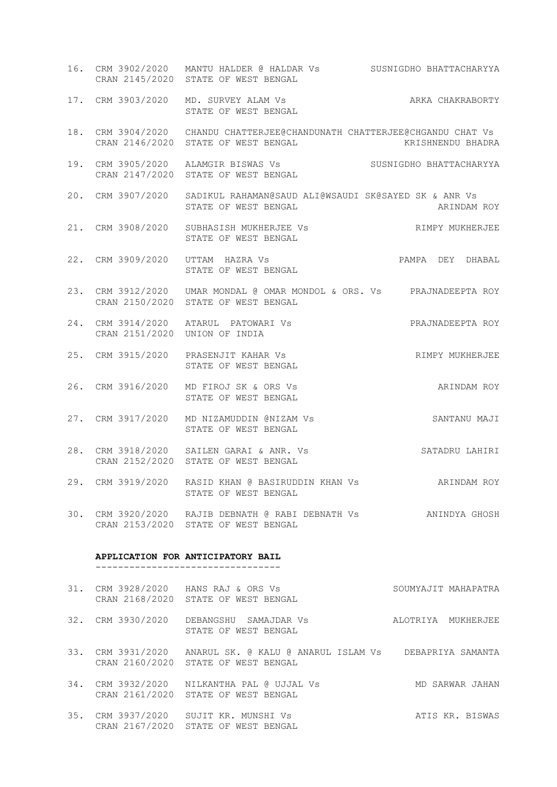16. CRM 3902/2020 MANTU HALDER @ HALDAR Vs SUSNIGDHO BHATTACHARYYA CRAN 2145/2020 STATE OF WEST BENGAL 17. CRM 3903/2020 MD. SURVEY ALAM Vs ARKA CHAKRABORTY STATE OF WEST BENGAL 18. CRM 3904/2020 CHANDU CHATTERJEE@CHANDUNATH CHATTERJEE@CHGANDU CHAT Vs CRAN 2146/2020 STATE OF WEST BENGAL THE STATE OF WEST STATE OF RESOLUTION ASSESSMENT OF RESOLUTION OF RESOLUTION 19. CRM 3905/2020 ALAMGIR BISWAS Vs SUSNIGDHO BHATTACHARYYA CRAN 2147/2020 STATE OF WEST BENGAL 20. CRM 3907/2020 SADIKUL RAHAMAN@SAUD ALI@WSAUDI SK@SAYED SK & ANR Vs STATE OF WEST BENGAL **ARINDAM ROY** 21. CRM 3908/2020 SUBHASISH MUKHERJEE Vs RIMPY MUKHERJEE STATE OF WEST BENGAL 22. CRM 3909/2020 UTTAM HAZRA Vs PAMPA DEY DHABAL STATE OF WEST BENGAL 23. CRM 3912/2020 UMAR MONDAL @ OMAR MONDOL & ORS. Vs PRAJNADEEPTA ROY CRAN 2150/2020 STATE OF WEST BENGAL 24. CRM 3914/2020 ATARUL PATOWARI Vs PRAJNADEEPTA ROY CRAN 2151/2020 UNION OF INDIA 25. CRM 3915/2020 PRASENJIT KAHAR Vs **RIMPY MUKHERJEE**  STATE OF WEST BENGAL 26. CRM 3916/2020 MD FIROJ SK & ORS Vs ARINDAM ROY STATE OF WEST BENGAL 27. CRM 3917/2020 MD NIZAMUDDIN @NIZAM Vs SANTANU MAJI STATE OF WEST BENGAL 28. CRM 3918/2020 SAILEN GARAI & ANR. Vs SATADRU LAHIRI CRAN 2152/2020 STATE OF WEST BENGAL 29. CRM 3919/2020 RASID KHAN @ BASIRUDDIN KHAN Vs ARINDAM ROY STATE OF WEST BENGAL 30. CRM 3920/2020 RAJIB DEBNATH @ RABI DEBNATH Vs ANINDYA GHOSH

#### **APPLICATION FOR ANTICIPATORY BAIL**

CRAN 2153/2020 STATE OF WEST BENGAL

---------------------------------

|  | 31. CRM 3928/2020 HANS RAJ & ORS Vs<br>CRAN 2168/2020 STATE OF WEST BENGAL                                     | SOUMYAJIT MAHAPATRA |
|--|----------------------------------------------------------------------------------------------------------------|---------------------|
|  | 32. CRM 3930/2020 DEBANGSHU SAMAJDAR Vs<br>STATE OF WEST BENGAL                                                | ALOTRIYA MUKHERJEE  |
|  | 33. CRM 3931/2020 ANARUL SK. @ KALU @ ANARUL ISLAM Vs DEBAPRIYA SAMANTA<br>CRAN 2160/2020 STATE OF WEST BENGAL |                     |
|  | 34. CRM 3932/2020 NILKANTHA PAL @ UJJAL Vs<br>CRAN 2161/2020 STATE OF WEST BENGAL                              | MD SARWAR JAHAN     |
|  | 35. CRM 3937/2020 SUJIT KR. MUNSHI Vs<br>CRAN 2167/2020 STATE OF WEST BENGAL                                   | ATIS KR. BISWAS     |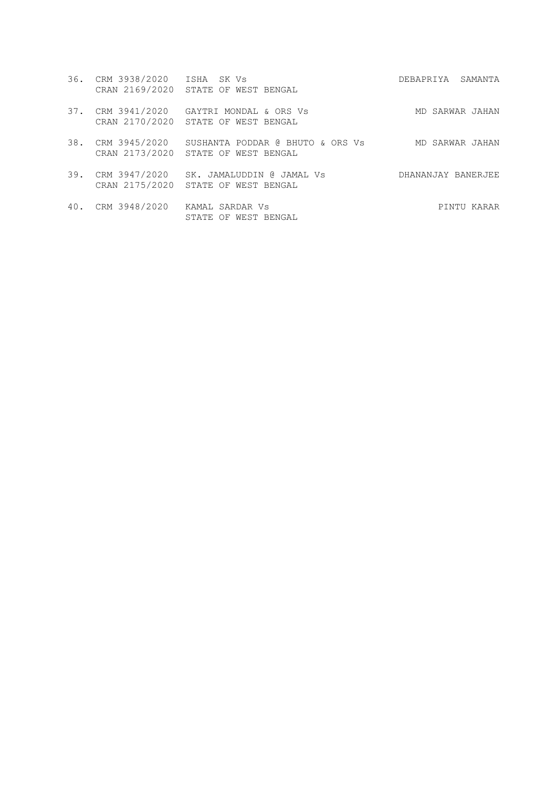|     | 36. CRM 3938/2020 ISHA SK Vs    | CRAN 2169/2020 STATE OF WEST BENGAL                           | DEBAPRIYA SAMANTA  |
|-----|---------------------------------|---------------------------------------------------------------|--------------------|
| 37. | CRM 3941/2020                   | GAYTRI MONDAL & ORS Vs<br>CRAN 2170/2020 STATE OF WEST BENGAL | MD SARWAR JAHAN    |
| 38. | CRM 3945/2020<br>CRAN 2173/2020 | SUSHANTA PODDAR @ BHUTO & ORS Vs<br>STATE OF WEST BENGAL      | MD SARWAR JAHAN    |
| 39. | CRM 3947/2020<br>CRAN 2175/2020 | SK. JAMALUDDIN @ JAMAL Vs<br>STATE OF WEST BENGAL             | DHANANJAY BANERJEE |
|     | 40. CRM 3948/2020               | KAMAL SARDAR Vs<br>STATE OF WEST BENGAL                       | PINTU KARAR        |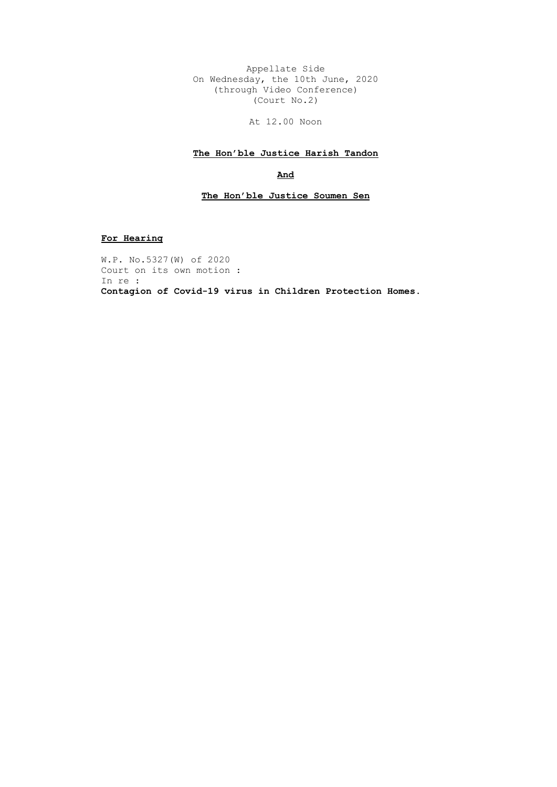Appellate Side On Wednesday, the 10th June, 2020 (through Video Conference) (Court No.2)

At 12.00 Noon

### **The Hon'ble Justice Harish Tandon**

**And**

#### **The Hon'ble Justice Soumen Sen**

**For Hearing**

W.P. No.5327(W) of 2020 Court on its own motion : In re : **Contagion of Covid-19 virus in Children Protection Homes**.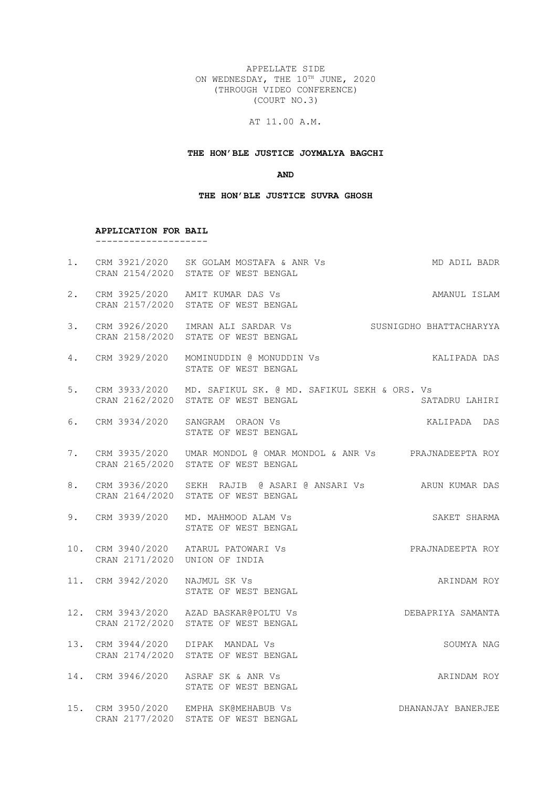APPELLATE SIDE ON WEDNESDAY, THE 10TH JUNE, 2020 (THROUGH VIDEO CONFERENCE) (COURT NO.3)

### AT 11.00 A.M.

#### **THE HON'BLE JUSTICE JOYMALYA BAGCHI**

**AND**

#### **THE HON'BLE JUSTICE SUVRA GHOSH**

#### **APPLICATION FOR BAIL**

CRAN 2157/2020 STATE OF WEST BENGAL

--------------------

- 1. CRM 3921/2020 SK GOLAM MOSTAFA & ANR Vs MD ADIL BADR CRAN 2154/2020 STATE OF WEST BENGAL 2. CRM 3925/2020 AMIT KUMAR DAS Vs AMANUL ISLAM
- 3. CRM 3926/2020 IMRAN ALI SARDAR Vs SUSNIGDHO BHATTACHARYYA CRAN 2158/2020 STATE OF WEST BENGAL
- 4. CRM 3929/2020 MOMINUDDIN @ MONUDDIN Vs KALIPADA DAS STATE OF WEST BENGAL
- 5. CRM 3933/2020 MD. SAFIKUL SK. @ MD. SAFIKUL SEKH & ORS. Vs CRAN 2162/2020 STATE OF WEST BENGAL SATADRU LAHIRI
- 6. CRM 3934/2020 SANGRAM ORAON Vs KALIPADA DAS STATE OF WEST BENGAL
- 7. CRM 3935/2020 UMAR MONDOL @ OMAR MONDOL & ANR Vs PRAJNADEEPTA ROY CRAN 2165/2020 STATE OF WEST BENGAL
- 8. CRM 3936/2020 SEKH RAJIB @ ASARI @ ANSARI Vs ARUN KUMAR DAS CRAN 2164/2020 STATE OF WEST BENGAL
- 9. CRM 3939/2020 MD. MAHMOOD ALAM Vs SAKET SHARMA STATE OF WEST BENGAL
- 10. CRM 3940/2020 ATARUL PATOWARI Vs PRAJNADEEPTA ROY CRAN 2171/2020 UNION OF INDIA
- 11. CRM 3942/2020 NAJMUL SK Vs ARINDAM ROY STATE OF WEST BENGAL
- 12. CRM 3943/2020 AZAD BASKAR@POLTU Vs DEBAPRIYA SAMANTA CRAN 2172/2020 STATE OF WEST BENGAL
- 13. CRM 3944/2020 DIPAK MANDAL Vs SOUMYA NAG CRAN 2174/2020 STATE OF WEST BENGAL
- 14. CRM 3946/2020 ASRAF SK & ANR Vs ARINDAM ROY STATE OF WEST BENGAL
- 15. CRM 3950/2020 EMPHA SK@MEHABUB Vs DHANANJAY BANERJEE CRAN 2177/2020 STATE OF WEST BENGAL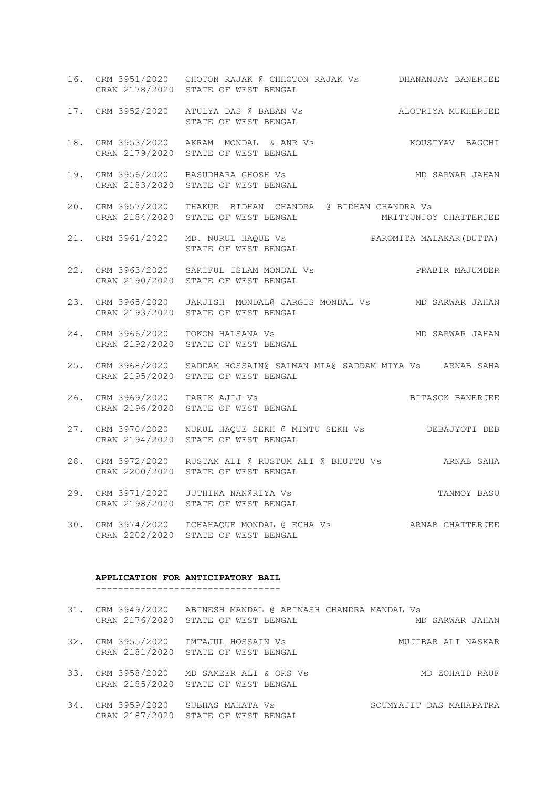- 16. CRM 3951/2020 CHOTON RAJAK @ CHHOTON RAJAK Vs DHANANJAY BANERJEE CRAN 2178/2020 STATE OF WEST BENGAL
- 17. CRM 3952/2020 ATULYA DAS @ BABAN Vs ALOTRIYA MUKHERJEE STATE OF WEST BENGAL
- 18. CRM 3953/2020 AKRAM MONDAL & ANR Vs KOUSTYAV BAGCHI CRAN 2179/2020 STATE OF WEST BENGAL
- 19. CRM 3956/2020 BASUDHARA GHOSH Vs MD SARWAR JAHAN CRAN 2183/2020 STATE OF WEST BENGAL
- 20. CRM 3957/2020 THAKUR BIDHAN CHANDRA @ BIDHAN CHANDRA Vs CRAN 2184/2020 STATE OF WEST BENGAL METRYUNJOY CHATTERJEE
- 21. CRM 3961/2020 MD. NURUL HAQUE Vs PAROMITA MALAKAR(DUTTA) STATE OF WEST BENGAL
- 22. CRM 3963/2020 SARIFUL ISLAM MONDAL Vs PRABIR MAJUMDER CRAN 2190/2020 STATE OF WEST BENGAL
- 23. CRM 3965/2020 JARJISH MONDAL@ JARGIS MONDAL Vs MD SARWAR JAHAN CRAN 2193/2020 STATE OF WEST BENGAL
- 24. CRM 3966/2020 TOKON HALSANA Vs MD SARWAR JAHAN CRAN 2192/2020 STATE OF WEST BENGAL
- 25. CRM 3968/2020 SADDAM HOSSAIN@ SALMAN MIA@ SADDAM MIYA Vs ARNAB SAHA CRAN 2195/2020 STATE OF WEST BENGAL
- 26. CRM 3969/2020 TARIK AJIJ Vs BELL BELL BANG BANERJEE CRAN 2196/2020 STATE OF WEST BENGAL
- 27. CRM 3970/2020 NURUL HAQUE SEKH @ MINTU SEKH Vs DEBAJYOTI DEB CRAN 2194/2020 STATE OF WEST BENGAL
- 28. CRM 3972/2020 RUSTAM ALI @ RUSTUM ALI @ BHUTTU Vs ARNAB SAHA CRAN 2200/2020 STATE OF WEST BENGAL
- 29. CRM 3971/2020 JUTHIKA NAN@RIYA Vs TANMOY BASU CRAN 2198/2020 STATE OF WEST BENGAL
- 30. CRM 3974/2020 ICHAHAQUE MONDAL @ ECHA Vs ARNAB CHATTERJEE CRAN 2202/2020 STATE OF WEST BENGAL

### **APPLICATION FOR ANTICIPATORY BAIL**

---------------------------------

|     | 31. CRM 3949/2020 ABINESH MANDAL @ ABINASH CHANDRA MANDAL Vs<br>CRAN 2176/2020 STATE OF WEST BENGAL | MD SARWAR JAHAN         |
|-----|-----------------------------------------------------------------------------------------------------|-------------------------|
|     | 32. CRM 3955/2020 IMTAJUL HOSSAIN Vs<br>CRAN 2181/2020 STATE OF WEST BENGAL                         | MUJIBAR ALI NASKAR      |
|     | 33. CRM 3958/2020 MD SAMEER ALI & ORS Vs<br>CRAN 2185/2020 STATE OF WEST BENGAL                     | MD ZOHAID RAUF          |
| 34. | CRM 3959/2020 SUBHAS MAHATA Vs<br>CRAN 2187/2020 STATE OF WEST BENGAL                               | SOUMYAJIT DAS MAHAPATRA |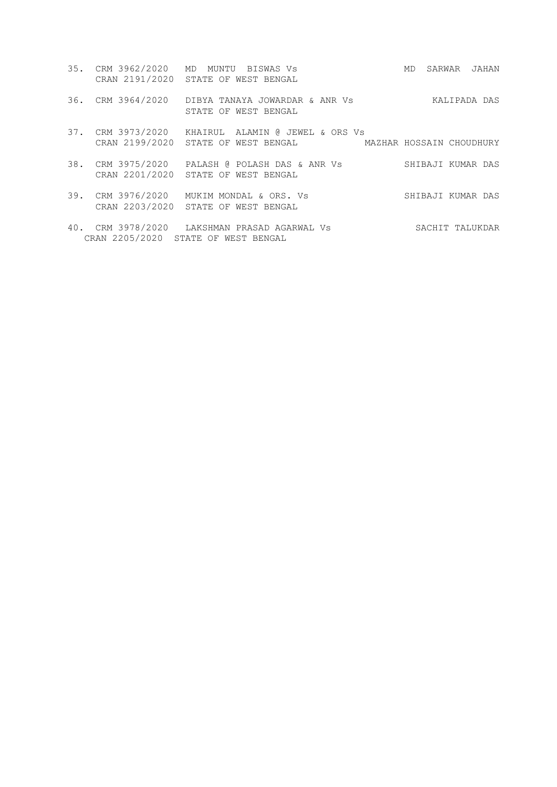35. CRM 3962/2020 MD MUNTU BISWAS Vs MD SARWAR JAHAN CRAN 2191/2020 STATE OF WEST BENGAL 36. CRM 3964/2020 DIBYA TANAYA JOWARDAR & ANR Vs KALIPADA DAS STATE OF WEST BENGAL 37. CRM 3973/2020 KHAIRUL ALAMIN @ JEWEL & ORS Vs CRAN 2199/2020 STATE OF WEST BENGAL MAZHAR HOSSAIN CHOUDHURY 38. CRM 3975/2020 PALASH @ POLASH DAS & ANR Vs SHIBAJI KUMAR DAS CRAN 2201/2020 STATE OF WEST BENGAL 39. CRM 3976/2020 MUKIM MONDAL & ORS. Vs SHIBAJI KUMAR DAS CRAN 2203/2020 STATE OF WEST BENGAL 40. CRM 3978/2020 LAKSHMAN PRASAD AGARWAL Vs SACHIT TALUKDAR CRAN 2205/2020 STATE OF WEST BENGAL